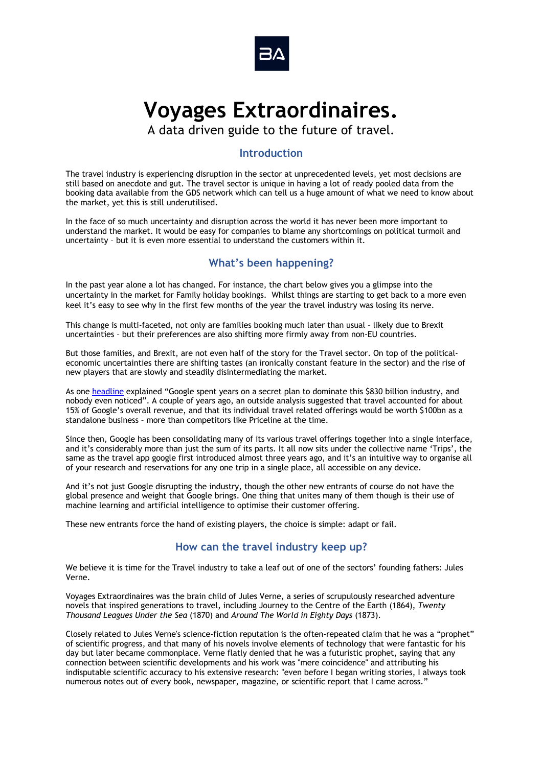

# **Voyages Extraordinaires.**

A data driven guide to the future of travel.

## **Introduction**

The travel industry is experiencing disruption in the sector at unprecedented levels, yet most decisions are still based on anecdote and gut. The travel sector is unique in having a lot of ready pooled data from the booking data available from the GDS network which can tell us a huge amount of what we need to know about the market, yet this is still underutilised.

In the face of so much uncertainty and disruption across the world it has never been more important to understand the market. It would be easy for companies to blame any shortcomings on political turmoil and uncertainty – but it is even more essential to understand the customers within it.

# **What's been happening?**

In the past year alone a lot has changed. For instance, the chart below gives you a glimpse into the uncertainty in the market for Family holiday bookings. Whilst things are starting to get back to a more even keel it's easy to see why in the first few months of the year the travel industry was losing its nerve.

This change is multi-faceted, not only are families booking much later than usual – likely due to Brexit uncertainties – but their preferences are also shifting more firmly away from non-EU countries.

But those families, and Brexit, are not even half of the story for the Travel sector. On top of the politicaleconomic uncertainties there are shifting tastes (an ironically constant feature in the sector) and the rise of new players that are slowly and steadily disintermediating the market.

As one headline explained "Google spent years on a secret plan to dominate this \$830 billion industry, and nobody even noticed". A couple of years ago, an outside analysis suggested that travel accounted for about 15% of Google's overall revenue, and that its individual travel related offerings would be worth \$100bn as a standalone business – more than competitors like Priceline at the time.

Since then, Google has been consolidating many of its various travel offerings together into a single interface, and it's considerably more than just the sum of its parts. It all now sits under the collective name 'Trips', the same as the travel app google first introduced almost three years ago, and it's an intuitive way to organise all of your research and reservations for any one trip in a single place, all accessible on any device.

And it's not just Google disrupting the industry, though the other new entrants of course do not have the global presence and weight that Google brings. One thing that unites many of them though is their use of machine learning and artificial intelligence to optimise their customer offering.

These new entrants force the hand of existing players, the choice is simple: adapt or fail.

# **How can the travel industry keep up?**

We believe it is time for the Travel industry to take a leaf out of one of the sectors' founding fathers: Jules Verne.

Voyages Extraordinaires was the brain child of Jules Verne, a series of scrupulously researched adventure novels that inspired generations to travel, including Journey to the Centre of the Earth (1864), *Twenty Thousand Leagues Under the Sea* (1870) and *Around The World in Eighty Days* (1873).

Closely related to Jules Verne's science-fiction reputation is the often-repeated claim that he was a "prophet" of scientific progress, and that many of his novels involve elements of technology that were fantastic for his day but later became commonplace. Verne flatly denied that he was a futuristic prophet, saying that any connection between scientific developments and his work was "mere coincidence" and attributing his indisputable scientific accuracy to his extensive research: "even before I began writing stories, I always took numerous notes out of every book, newspaper, magazine, or scientific report that I came across."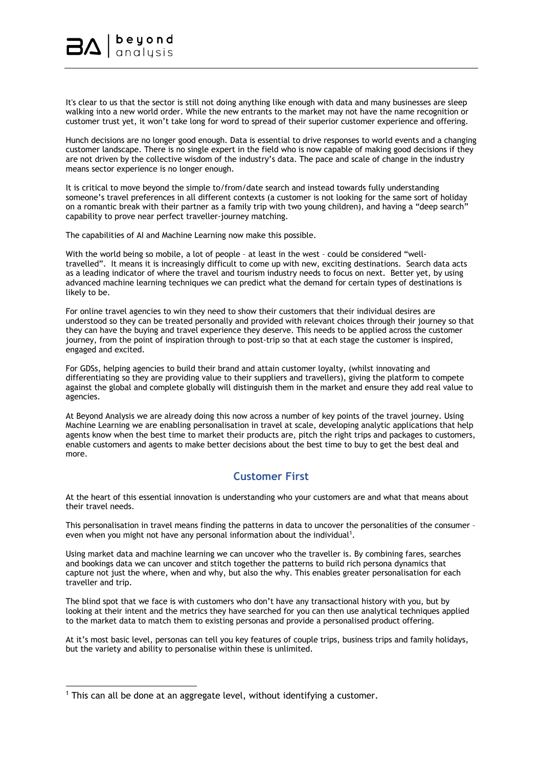

It's clear to us that the sector is still not doing anything like enough with data and many businesses are sleep walking into a new world order. While the new entrants to the market may not have the name recognition or customer trust yet, it won't take long for word to spread of their superior customer experience and offering.

Hunch decisions are no longer good enough. Data is essential to drive responses to world events and a changing customer landscape. There is no single expert in the field who is now capable of making good decisions if they are not driven by the collective wisdom of the industry's data. The pace and scale of change in the industry means sector experience is no longer enough.

It is critical to move beyond the simple to/from/date search and instead towards fully understanding someone's travel preferences in all different contexts (a customer is not looking for the same sort of holiday on a romantic break with their partner as a family trip with two young children), and having a "deep search" capability to prove near perfect traveller-journey matching.

The capabilities of AI and Machine Learning now make this possible.

With the world being so mobile, a lot of people - at least in the west - could be considered "welltravelled". It means it is increasingly difficult to come up with new, exciting destinations. Search data acts as a leading indicator of where the travel and tourism industry needs to focus on next. Better yet, by using advanced machine learning techniques we can predict what the demand for certain types of destinations is likely to be.

For online travel agencies to win they need to show their customers that their individual desires are understood so they can be treated personally and provided with relevant choices through their journey so that they can have the buying and travel experience they deserve. This needs to be applied across the customer journey, from the point of inspiration through to post-trip so that at each stage the customer is inspired, engaged and excited.

For GDSs, helping agencies to build their brand and attain customer loyalty, (whilst innovating and differentiating so they are providing value to their suppliers and travellers), giving the platform to compete against the global and complete globally will distinguish them in the market and ensure they add real value to agencies.

At Beyond Analysis we are already doing this now across a number of key points of the travel journey. Using Machine Learning we are enabling personalisation in travel at scale, developing analytic applications that help agents know when the best time to market their products are, pitch the right trips and packages to customers, enable customers and agents to make better decisions about the best time to buy to get the best deal and more.

# **Customer First**

At the heart of this essential innovation is understanding who your customers are and what that means about their travel needs.

This personalisation in travel means finding the patterns in data to uncover the personalities of the consumer – even when you might not have any personal information about the individual<sup>1</sup>.

Using market data and machine learning we can uncover who the traveller is. By combining fares, searches and bookings data we can uncover and stitch together the patterns to build rich persona dynamics that capture not just the where, when and why, but also the why. This enables greater personalisation for each traveller and trip.

The blind spot that we face is with customers who don't have any transactional history with you, but by looking at their intent and the metrics they have searched for you can then use analytical techniques applied to the market data to match them to existing personas and provide a personalised product offering.

At it's most basic level, personas can tell you key features of couple trips, business trips and family holidays, but the variety and ability to personalise within these is unlimited.

<sup>&</sup>lt;sup>1</sup> This can all be done at an aggregate level, without identifying a customer.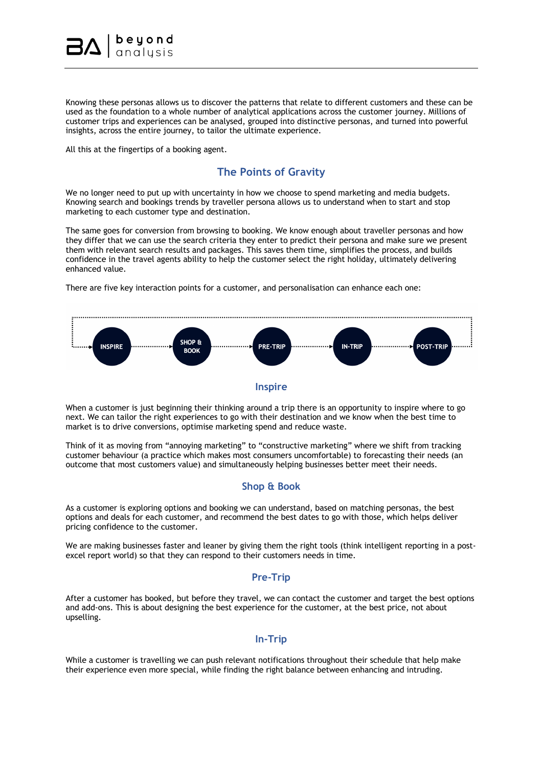

Knowing these personas allows us to discover the patterns that relate to different customers and these can be used as the foundation to a whole number of analytical applications across the customer journey. Millions of customer trips and experiences can be analysed, grouped into distinctive personas, and turned into powerful insights, across the entire journey, to tailor the ultimate experience.

All this at the fingertips of a booking agent.

### **The Points of Gravity**

We no longer need to put up with uncertainty in how we choose to spend marketing and media budgets. Knowing search and bookings trends by traveller persona allows us to understand when to start and stop marketing to each customer type and destination.

The same goes for conversion from browsing to booking. We know enough about traveller personas and how they differ that we can use the search criteria they enter to predict their persona and make sure we present them with relevant search results and packages. This saves them time, simplifies the process, and builds confidence in the travel agents ability to help the customer select the right holiday, ultimately delivering enhanced value.

There are five key interaction points for a customer, and personalisation can enhance each one:



#### **Inspire**

When a customer is just beginning their thinking around a trip there is an opportunity to inspire where to go next. We can tailor the right experiences to go with their destination and we know when the best time to market is to drive conversions, optimise marketing spend and reduce waste.

Think of it as moving from "annoying marketing" to "constructive marketing" where we shift from tracking customer behaviour (a practice which makes most consumers uncomfortable) to forecasting their needs (an outcome that most customers value) and simultaneously helping businesses better meet their needs.

#### **Shop & Book**

As a customer is exploring options and booking we can understand, based on matching personas, the best options and deals for each customer, and recommend the best dates to go with those, which helps deliver pricing confidence to the customer.

We are making businesses faster and leaner by giving them the right tools (think intelligent reporting in a postexcel report world) so that they can respond to their customers needs in time.

#### **Pre-Trip**

After a customer has booked, but before they travel, we can contact the customer and target the best options and add-ons. This is about designing the best experience for the customer, at the best price, not about upselling.

#### **In-Trip**

While a customer is travelling we can push relevant notifications throughout their schedule that help make their experience even more special, while finding the right balance between enhancing and intruding.